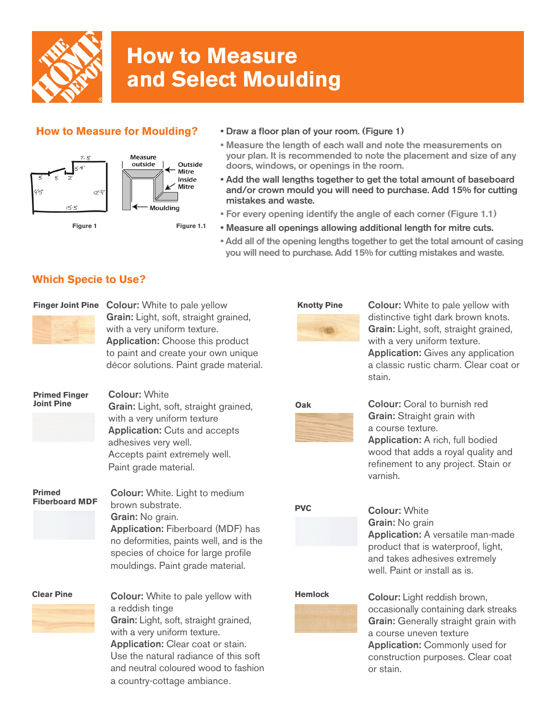

# **How to Measure and Select Moulding**

### **How to Measure for Moulding?**



#### • Draw a floor plan of your room. (Figure 1)

- Measure the length of each wall and note the measurements on your plan. It is recommended to note the placement and size of any doors, windows, or openings in the room.
- Add the wall lengths together to get the total amount of baseboard and/or crown mould you will need to purchase. Add 15% for cutting mistakes and waste.
- For every opening identify the angle of each corner (Figure 1.1)
- Measure all openings allowing additional length for mitre cuts.
- Add all of the opening lengths together to get the total amount of casing you will need to purchase. Add 15% for cutting mistakes and waste.

## **Which Specie to Use?**



Finger Joint Pine Colour: White to pale yellow Grain: Light, soft, straight grained, with a very uniform texture. Application: Choose this product to paint and create your own unique décor solutions. Paint grade material.



Colour: White to pale yellow with distinctive tight dark brown knots. Grain: Light, soft, straight grained, with a very uniform texture. Application: Gives any application a classic rustic charm. Clear coat or stain.



Colour: Coral to burnish red Grain: Straight grain with a course texture. Application: A rich, full bodied wood that adds a royal quality and refinement to any project. Stain or varnish.

# **PVC**

Colour: White Grain: No grain Application: A versatile man-made product that is waterproof, light, and takes adhesives extremely well. Paint or install as is.

## **Hemlock**

Colour: Light reddish brown, occasionally containing dark streaks Grain: Generally straight grain with a course uneven texture Application: Commonly used for construction purposes. Clear coat or stain.

# **Primed Finger Joint Pine**

Colour: White Grain: Light, soft, straight grained, with a very uniform texture Application: Cuts and accepts adhesives very well. Accepts paint extremely well. Paint grade material.

**Primed Fiberboard MDF** Colour: White. Light to medium brown substrate. Grain: No grain. Application: Fiberboard (MDF) has no deformities, paints well, and is the species of choice for large profile mouldings. Paint grade material.



Colour: White to pale yellow with a reddish tinge Grain: Light, soft, straight grained, with a very uniform texture. Application: Clear coat or stain. Use the natural radiance of this soft and neutral coloured wood to fashion a country-cottage ambiance.